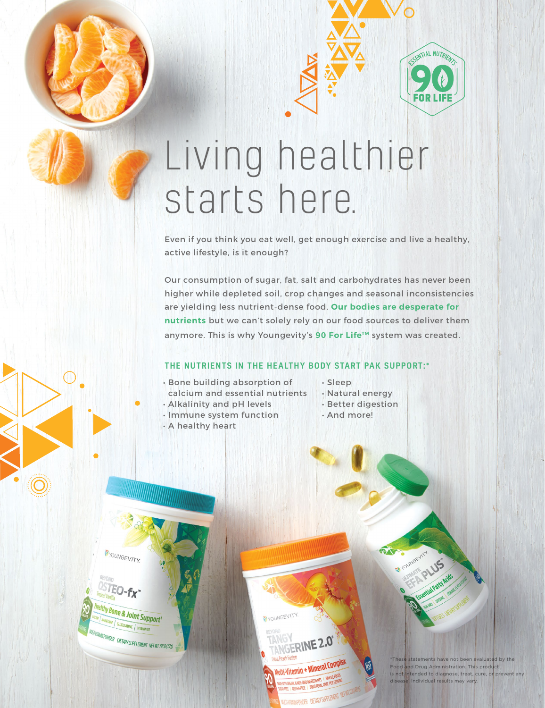# Living healthier starts here.

Even if you think you eat well, get enough exercise and live a healthy, active lifestyle, is it enough?

Our consumption of sugar, fat, salt and carbohydrates has never been higher while depleted soil, crop changes and seasonal inconsistencies are yielding less nutrient-dense food. **Our bodies are desperate for nutrients** but we can't solely rely on our food sources to deliver them anymore. This is why Youngevity's 90 For Life™ system was created.

### THE NUTRIENTS IN THE HEALTHY BODY START PAK SUPPORT:\*

YOUNTHOGGANGENNOT SHAVE NOT been evaluated by the Food and DRUG ADMINISTRATION. The NOTE FOOD and DRUG ADMinistration. The product is not intended to diagnose, treat, cure, or prevent any disease. In any or prevent any or

MUTHAMMEROWDER DIETARYSUPPLEMENT NETWILLE

**Multi-Vitamin + Mineral Complete** 

NGERINE 2.0°

YOUNGEVITY.

- Bone building absorption of calcium and essential nutrients
- Alkalinity and pH levels
- Immune system function
- A healthy heart

YOUNGEVITY

 $E$ O-f $\chi$ <sup>-</sup>

thy Bone & Joint Support<sup>+</sup><br>MANEGIAN | GLUCOSANDON |

**MINE** WITAMIN DR *MANYPOWDER DIETARYSUPPLEMENT NETWTJ9LB(578)* 

- Sleep
- Natural energy
- Better digestion

**AX** 

SENTIAL NUTRIENT

• And more!

\*These statements have not been evaluated by the Food and Drug Administration. This product is not intended to diagnose, treat, cure, or prevent any disease. Individual results may vary.